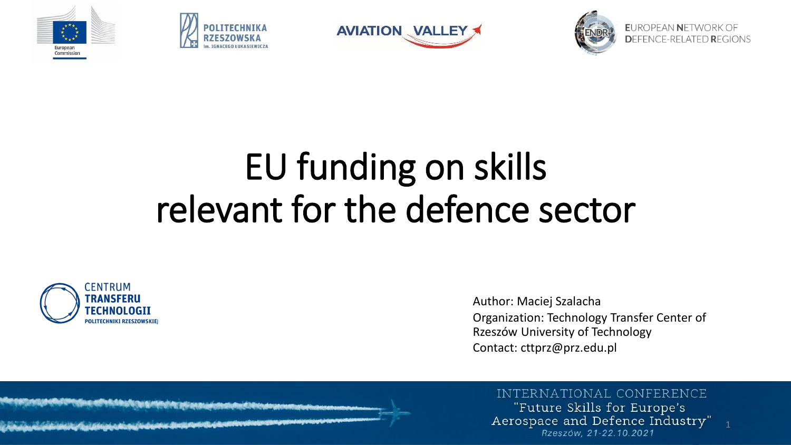







**EUROPEAN NETWORK OF** DEFENCE-RELATED REGIONS

## EU funding on skills relevant for the defence sector



Author: Maciej Szalacha Organization: Technology Transfer Center of Rzeszów University of Technology Contact: cttprz@prz.edu.pl

#### INTERNATIONAL CONFERENCE

"Future Skills for Europe's Aerospace and Defence Industry" Rzeszów, 21-22.10.2021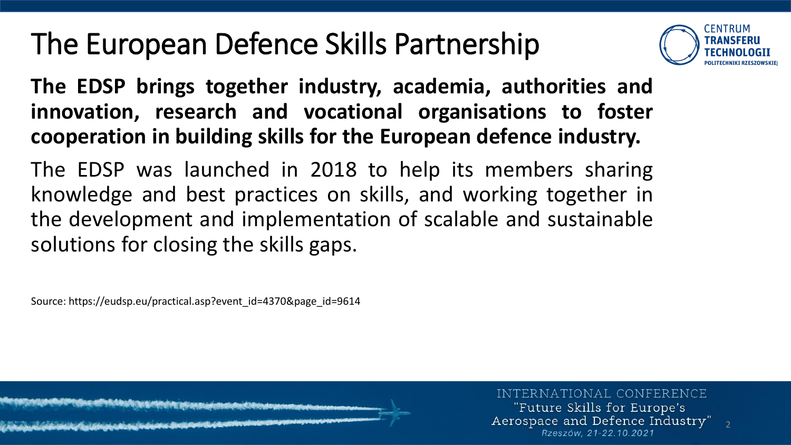## The European Defence Skills Partnership



2

**The EDSP brings together industry, academia, authorities and innovation, research and vocational organisations to foster cooperation in building skills for the European defence industry.**

The EDSP was launched in 2018 to help its members sharing knowledge and best practices on skills, and working together in the development and implementation of scalable and sustainable solutions for closing the skills gaps.

Source: https://eudsp.eu/practical.asp?event\_id=4370&page\_id=9614

INTERNATIONAL CONFERENCE "Future Skills for Europe's Aerospace and Defence Industry" Rzeszów. 21-22.10.2021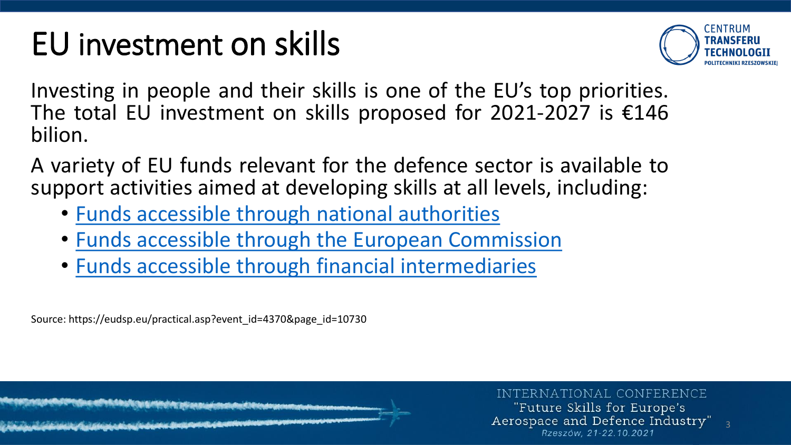## EU investment on skills



3

Investing in people and their skills is one of the EU's top priorities. The total EU investment on skills proposed for 2021-2027 is  $£146$ bilion.

A variety of EU funds relevant for the defence sector is available to support activities aimed at developing skills at all levels, including:

- Funds accessible through national [authorities](https://eudsp.eu/practical.asp?event_id=4370&page_id=10730#funds_through_national_authorities)
- Funds accessible through the European [Commission](https://eudsp.eu/practical.asp?event_id=4370&page_id=10730#funds_through_EC)
- Funds accessible through financial [intermediaries](https://eudsp.eu/practical.asp?event_id=4370&page_id=10730#funds_through_financial_intermediaries)

Source: https://eudsp.eu/practical.asp?event\_id=4370&page\_id=10730

INTERNATIONAL CONFERENCE "Future Skills for Europe's Aerospace and Defence Industry" Rzeszów, 21-22.10.2021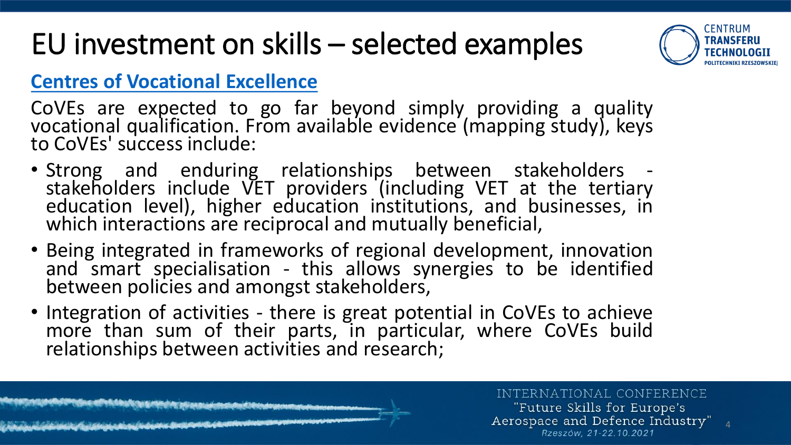

4

### **Centres of [Vocational](https://ec.europa.eu/social/main.jsp?langId=en&catId=1501&eventsId=1842&furtherEvents=yes) Excellence**

CoVEs are expected to go far beyond simply providing a quality vocational qualification. From available evidence (mapping study), keys to CoVEs' success include:

- Strong and enduring relationships between stakeholders stakeholders include VET providers (including VET at the tertiary education level), higher education institutions, and businesses, in which interactions are reciprocal and mutually beneficial,
- Being integrated in frameworks of regional development, innovation and smart specialisation - this allows synergies to be identified between policies and amongst stakeholders,
- Integration of activities there is great potential in CoVEs to achieve more than sum of their parts, in particular, where CoVEs build relationships between activities and research;

INTERNATIONAL CONFERENCE

"Future Skills for Europe's Aerospace and Defence Industry" Rzeszów, 21-22.10.2021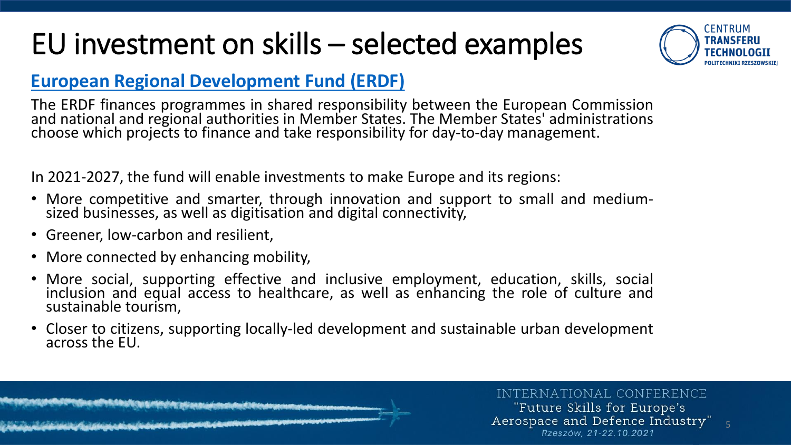

5

### **European Regional [Development](https://ec.europa.eu/regional_policy/pl/funding/erdf/) Fund (ERDF)**

The ERDF finances programmes in shared responsibility between the European Commission and national and regional authorities in Member States. The Member States' administrations choose which projects to finance and take responsibility for day-to-day management.

In 2021-2027, the fund will enable investments to make Europe and its regions:

- More competitive and smarter, through innovation and support to small and mediumsized businesses, as well as digitisation and digital connectivity,
- Greener, low-carbon and resilient,
- More connected by enhancing mobility,
- More social, supporting effective and inclusive employment, education, skills, social inclusion and equal access to healthcare, as well as enhancing the role of culture and sustainable tourism,
- Closer to citizens, supporting locally-led development and sustainable urban development across the EU.

INTERNATIONAL CONFERENCE

"Future Skills for Europe's Aerospace and Defence Industry" Rzeszów. 21-22.10.2021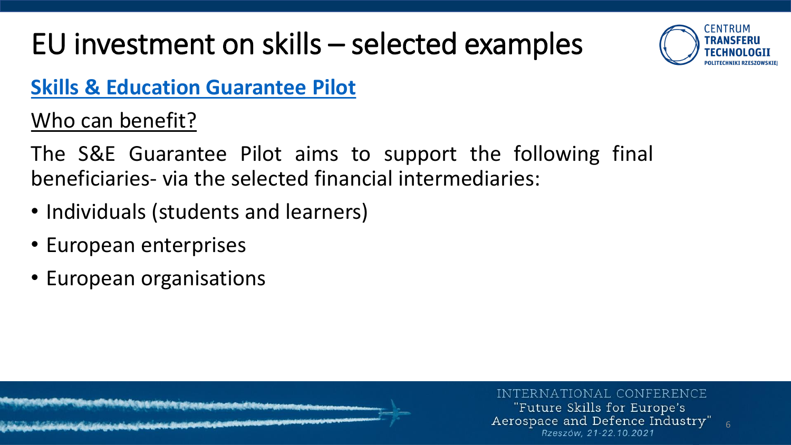

6

### **Skills & Education [Guarantee](https://www.eif.org/what_we_do/guarantees/skills-and-education-guarantee-pilot/index.htm) Pilot**

Who can benefit?

The S&E Guarantee Pilot aims to support the following final beneficiaries- via the selected financial intermediaries:

- Individuals (students and learners)
- European enterprises
- European organisations

INTERNATIONAL CONFERENCE "Future Skills for Europe's Aerospace and Defence Industry" Rzeszów. 21-22.10.2021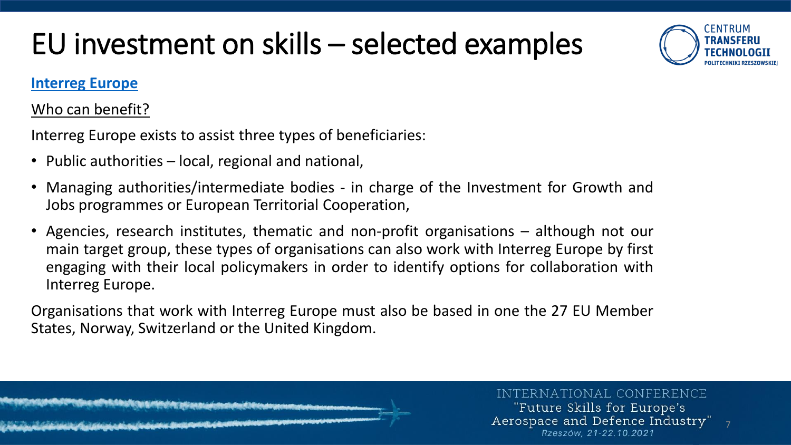

### **[Interreg](https://www.interregeurope.eu/about-us/2021-2027/) Europe**

### Who can benefit?

Interreg Europe exists to assist three types of beneficiaries:

- Public authorities local, regional and national,
- Managing authorities/intermediate bodies in charge of the Investment for Growth and Jobs programmes or European Territorial Cooperation,
- Agencies, research institutes, thematic and non-profit organisations although not our main target group, these types of organisations can also work with Interreg Europe by first engaging with their local policymakers in order to identify options for collaboration with Interreg Europe.

Organisations that work with Interreg Europe must also be based in one the 27 EU Member States, Norway, Switzerland or the United Kingdom.

> INTERNATIONAL CONFERENCE "Future Skills for Europe's Aerospace and Defence Industry" Rzeszów. 21-22.10.2021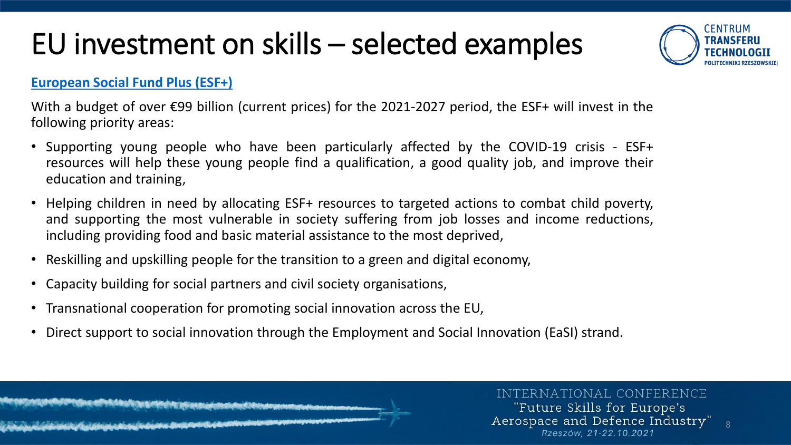

8

#### **[European](https://ec.europa.eu/social/main.jsp?catId=325) Social Fund Plus (ESF+)**

With a budget of over €99 billion (current prices) for the 2021-2027 period, the ESF+ will invest in the following priority areas:

- Supporting young people who have been particularly affected by the COVID-19 crisis ESF+ resources will help these young people find a qualification, a good quality job, and improve their education and training,
- Helping children in need by allocating ESF+ resources to targeted actions to combat child poverty, and supporting the most vulnerable in society suffering from job losses and income reductions, including providing food and basic material assistance to the most deprived,
- Reskilling and upskilling people for the transition to a green and digital economy,
- Capacity building for social partners and civil society organisations,
- Transnational cooperation for promoting social innovation across the EU,
- Direct support to social innovation through the Employment and Social Innovation (EaSI) strand.

#### INTERNATIONAL CONFERENCE

"Future Skills for Europe's Aerospace and Defence Industry" Rzeszów. 21-22.10.2021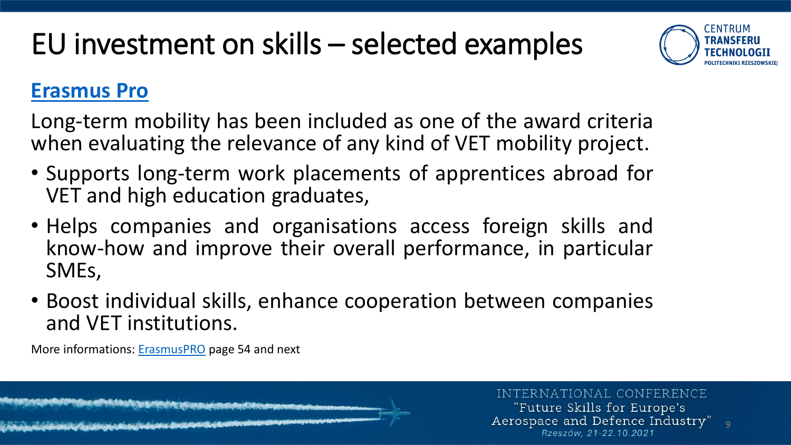

### **[Erasmus Pro](https://erasmus-plus.ec.europa.eu/programme-guide/part-b/key-action-1/mobility-vet)**

Long-term mobility has been included as one of the award criteria when evaluating the relevance of any kind of VET mobility project.

- Supports long-term work placements of apprentices abroad for VET and high education graduates,
- Helps companies and organisations access foreign skills and know-how and improve their overall performance, in particular SMEs,
- Boost individual skills, enhance cooperation between companies and VET institutions.

More informations: [ErasmusPRO](https://erasmusplus.org.pl/brepo/panel_repo_files/2021/03/30/nvik2n/erasmus-plus-programme-guide-2020-en.pdf) page 54 and next

INTERNATIONAL CONFERENCE "Future Skills for Europe's Aerospace and Defence Industry"

Rzeszów. 21-22.10.2021

9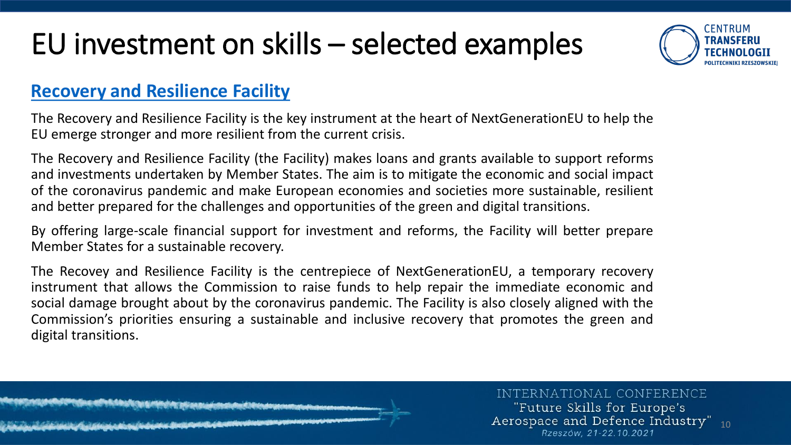

### **Recovery [and Resilience](https://ec.europa.eu/info/business-economy-euro/recovery-coronavirus/recovery-and-resilience-facility_en) Facility**

The Recovery and Resilience Facility is the key instrument at the heart of NextGenerationEU to help the EU emerge stronger and more resilient from the current crisis.

The Recovery and Resilience Facility (the Facility) makes loans and grants available to support reforms and investments undertaken by Member States. The aim is to mitigate the economic and social impact of the coronavirus pandemic and make European economies and societies more sustainable, resilient and better prepared for the challenges and opportunities of the green and digital transitions.

By offering large-scale financial support for investment and reforms, the Facility will better prepare Member States for a sustainable recovery.

The Recovey and Resilience Facility is the centrepiece of NextGenerationEU, a temporary recovery instrument that allows the Commission to raise funds to help repair the immediate economic and social damage brought about by the coronavirus pandemic. The Facility is also closely aligned with the Commission's priorities ensuring a sustainable and inclusive recovery that promotes the green and digital transitions.

> INTERNATIONAL CONFERENCE "Future Skills for Europe's Aerospace and Defence Industry" 10 Rzeszów. 21-22.10.2021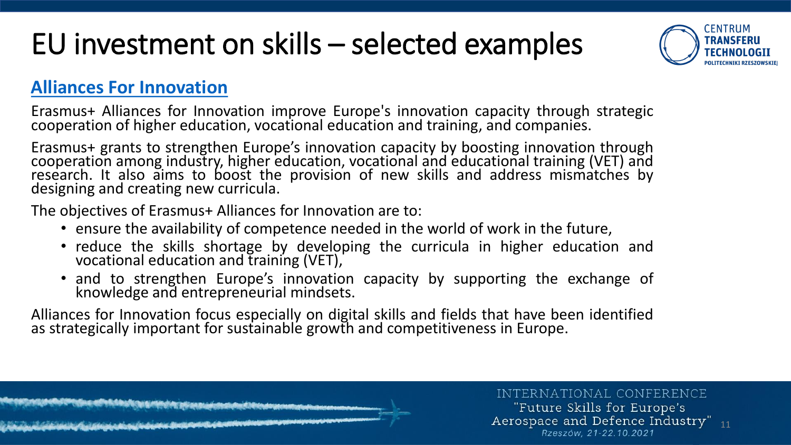

### **Alliances [For Innovation](https://erasmus-plus.ec.europa.eu/programme-guide/part-b/key-action-2/alliances-innovation)**

Erasmus+ Alliances for Innovation improve Europe's innovation capacity through strategic cooperation of higher education, vocational education and training, and companies.

Erasmus+ grants to strengthen Europe's innovation capacity by boosting innovation through cooperation among industry, higher education, vocational and educational training (VET) and research. It also aims to boost the provision of new skills and address mismatches by designing and creating new curricula.

The objectives of Erasmus+ Alliances for Innovation are to:

- ensure the availability of competence needed in the world of work in the future,
- reduce the skills shortage by developing the curricula in higher education and vocational education and training (VET),
- and to strengthen Europe's innovation capacity by supporting the exchange of knowledge and entrepreneurial mindsets.

Alliances for Innovation focus especially on digital skills and fields that have been identified as strategically important for sustainable growth and competitiveness in Europe.



"Future Skills for Europe's Aerospace and Defence Industry" 11 Rzeszów. 21-22.10.2021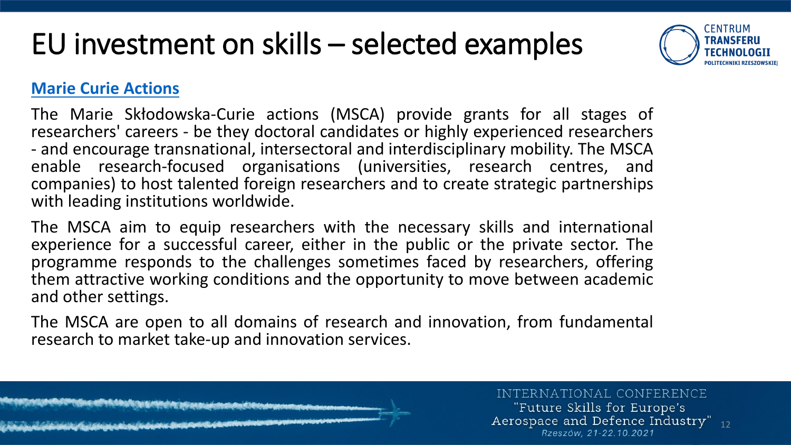

### **[Marie Curie Actions](https://ec.europa.eu/research/mariecurieactions/)**

The Marie Skłodowska-Curie actions (MSCA) provide grants for all stages of researchers' careers - be they doctoral candidates or highly experienced researchers - and encourage transnational, intersectoral and interdisciplinary mobility. The MSCA enable research-focused organisations (universities, research centres, and companies) to host talented foreign researchers and to create strategic partnerships with leading institutions worldwide.

The MSCA aim to equip researchers with the necessary skills and international experience for a successful career, either in the public or the private sector. The programme responds to the challenges sometimes faced by researchers, offering them attractive working conditions and the opportunity to move between academic and other settings.

The MSCA are open to all domains of research and innovation, from fundamental research to market take-up and innovation services.

#### INTERNATIONAL CONFERENCE

"Future Skills for Europe's Aerospace and Defence Industry"  $_{12}$ Rzeszów. 21-22.10.2021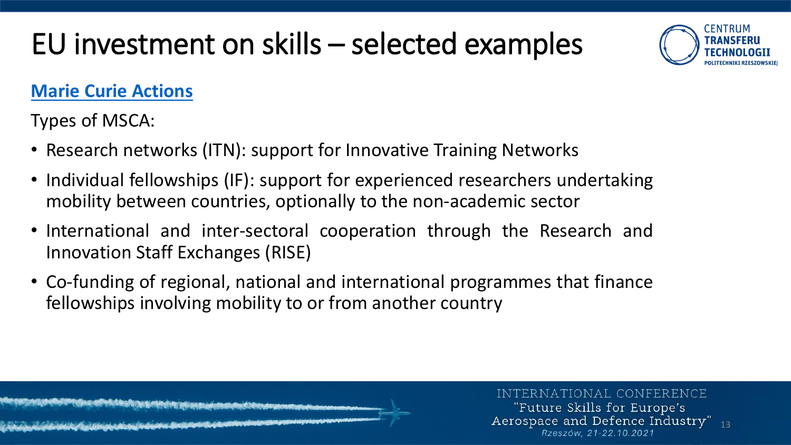

### **Marie Curie [Actions](https://ec.europa.eu/research/mariecurieactions/)**

Types of MSCA:

- Research networks (ITN): support for Innovative Training Networks
- Individual fellowships (IF): support for experienced researchers undertaking mobility between countries, optionally to the non-academic sector
- International and inter-sectoral cooperation through the Research and Innovation Staff Exchanges (RISE)
- Co-funding of regional, national and international programmes that finance fellowships involving mobility to or from another country

INTERNATIONAL CONFERENCE "Future Skills for Europe's Aerospace and Defence Industry" 13 Rzeszów. 21-22.10.2021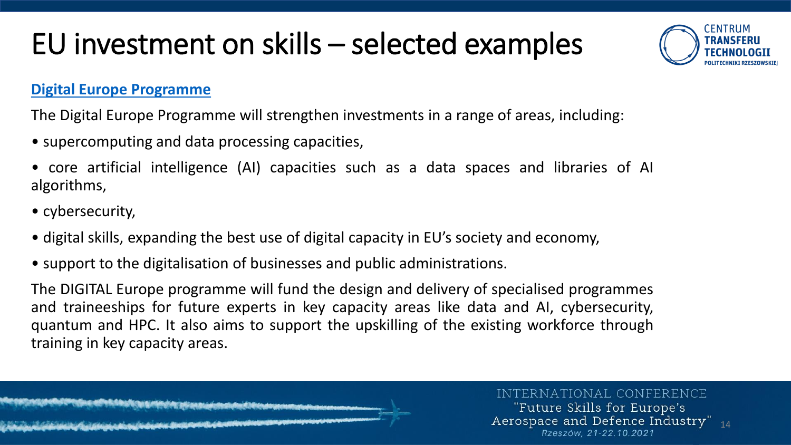

#### **[Digital Europe Programme](https://digital-strategy.ec.europa.eu/en/activities/digital-programme)**

The Digital Europe Programme will strengthen investments in a range of areas, including:

- supercomputing and data processing capacities,
- core artificial intelligence (AI) capacities such as a data spaces and libraries of AI algorithms,
- cybersecurity,
- digital skills, expanding the best use of digital capacity in EU's society and economy,
- support to the digitalisation of businesses and public administrations.

The DIGITAL Europe programme will fund the design and delivery of specialised programmes and traineeships for future experts in key capacity areas like data and AI, cybersecurity, quantum and HPC. It also aims to support the upskilling of the existing workforce through training in key capacity areas.

INTERNATIONAL CONFERENCE

"Future Skills for Europe's Aerospace and Defence Industry" 14 Rzeszów. 21-22.10.2021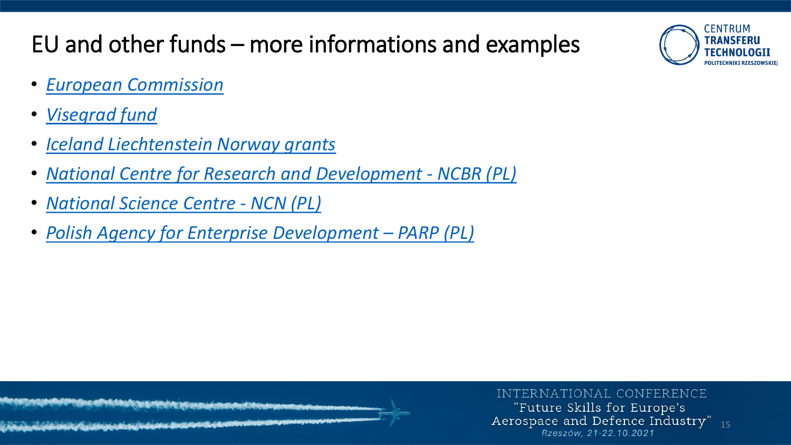



- *European [Commission](https://ec.europa.eu/info/funding-tenders/opportunities/portal/screen/opportunities/topic-search;callCode=null;freeTextSearchKeyword=;matchWholeText=true;typeCodes=0,1,2;statusCodes=31094501,31094503,31094502;programmePeriod=null;programCcm2Id=null;programDivisionCode=null;focusAreaCode=null;destination=null;mission=null;geographicalZonesCode=null;programmeDivisionProspect=null;startDateLte=null;startDateGte=null;crossCuttingPriorityCode=null;cpvCode=null;performanceOfDelivery=null;sortQuery=sortStatus;orderBy=asc;onlyTenders=false;topicListKey=topicSearchTablePageState)*
- *[Visegrad](https://www.visegradfund.org/apply/grants/) fund*
- *Iceland [Liechtenstein](https://education.org.pl/) Norway grants*
- *National Centre for Research and [Development](https://www.gov.pl/web/ncbr/platforma-konkursowa#/ncbr?sort=announcementDate,desc¤tPage=0&limit=10) - NCBR (PL)*
- *[National](https://www.ncn.gov.pl/en) Science Centre - NCN (PL)*
- *Polish Agency for Enterprise [Development](https://en.parp.gov.pl/) – PARP (PL)*

INTERNATIONAL CONFERENCE "Future Skills for Europe's Aerospace and Defence Industry" 15 Rzeszów. 21-22.10.2021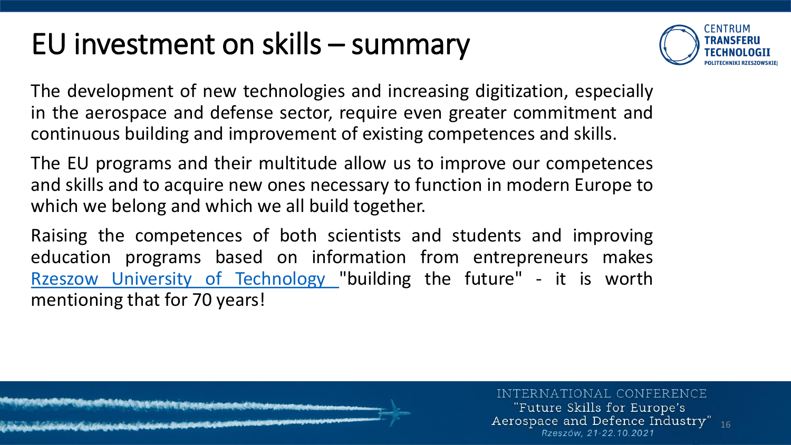### EU investment on skills – summary



The development of new technologies and increasing digitization, especially in the aerospace and defense sector, require even greater commitment and continuous building and improvement of existing competences and skills.

The EU programs and their multitude allow us to improve our competences and skills and to acquire new ones necessary to function in modern Europe to which we belong and which we all build together.

Raising the competences of both scientists and students and improving education programs based on information from entrepreneurs makes Rzeszow University of [Technology](https://w.prz.edu.pl/en/) "building the future" - it is worth mentioning that for 70 years!

INTERNATIONAL CONFERENCE "Future Skills for Europe's Aerospace and Defence Industry" 16 Rzeszów. 21-22.10.2021